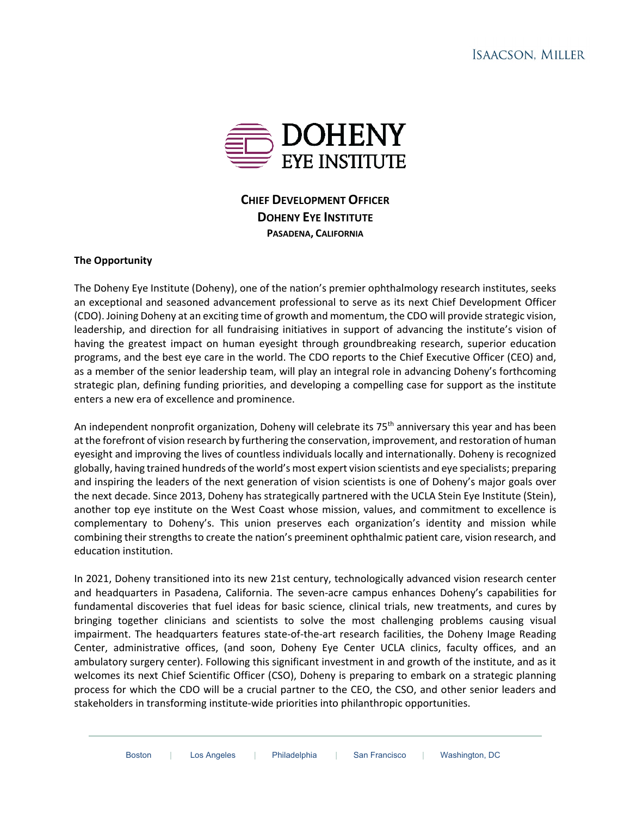

# **CHIEF DEVELOPMENT OFFICER DOHENY EYE INSTITUTE PASADENA, CALIFORNIA**

## **The Opportunity**

The Doheny Eye Institute (Doheny), one of the nation's premier ophthalmology research institutes, seeks an exceptional and seasoned advancement professional to serve as its next Chief Development Officer (CDO). Joining Doheny at an exciting time of growth and momentum, the CDO will provide strategic vision, leadership, and direction for all fundraising initiatives in support of advancing the institute's vision of having the greatest impact on human eyesight through groundbreaking research, superior education programs, and the best eye care in the world. The CDO reports to the Chief Executive Officer (CEO) and, as a member of the senior leadership team, will play an integral role in advancing Doheny's forthcoming strategic plan, defining funding priorities, and developing a compelling case for support as the institute enters a new era of excellence and prominence.

An independent nonprofit organization, Doheny will celebrate its 75<sup>th</sup> anniversary this year and has been at the forefront of vision research by furthering the conservation, improvement, and restoration of human eyesight and improving the lives of countless individuals locally and internationally. Doheny is recognized globally, having trained hundreds of the world's most expert vision scientists and eye specialists; preparing and inspiring the leaders of the next generation of vision scientists is one of Doheny's major goals over the next decade. Since 2013, Doheny has strategically partnered with the UCLA Stein Eye Institute (Stein), another top eye institute on the West Coast whose mission, values, and commitment to excellence is complementary to Doheny's. This union preserves each organization's identity and mission while combining their strengths to create the nation's preeminent ophthalmic patient care, vision research, and education institution.

In 2021, Doheny transitioned into its new 21st century, technologically advanced vision research center and headquarters in Pasadena, California. The seven-acre campus enhances Doheny's capabilities for fundamental discoveries that fuel ideas for basic science, clinical trials, new treatments, and cures by bringing together clinicians and scientists to solve the most challenging problems causing visual impairment. The headquarters features state-of-the-art research facilities, the Doheny Image Reading Center, administrative offices, (and soon, Doheny Eye Center UCLA clinics, faculty offices, and an ambulatory surgery center). Following this significant investment in and growth of the institute, and as it welcomes its next Chief Scientific Officer (CSO), Doheny is preparing to embark on a strategic planning process for which the CDO will be a crucial partner to the CEO, the CSO, and other senior leaders and stakeholders in transforming institute-wide priorities into philanthropic opportunities.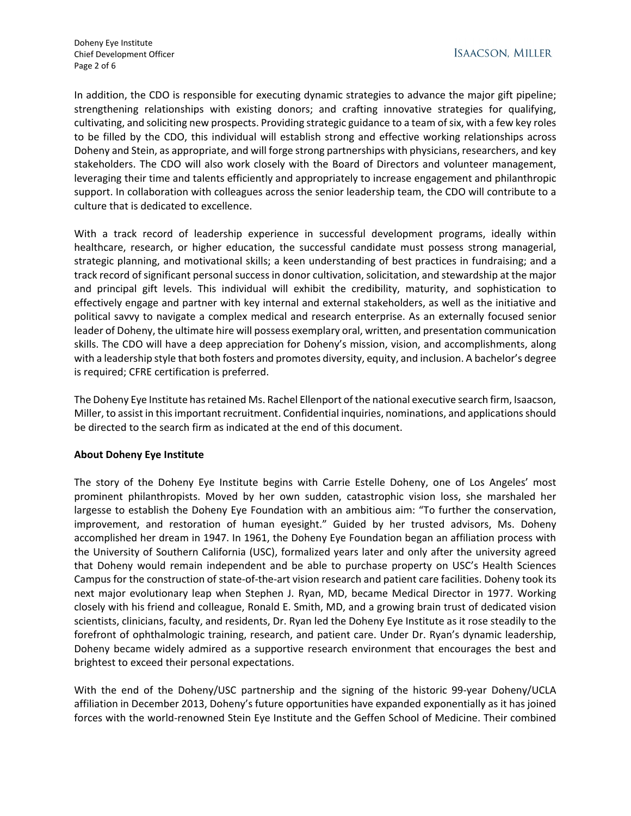In addition, the CDO is responsible for executing dynamic strategies to advance the major gift pipeline; strengthening relationships with existing donors; and crafting innovative strategies for qualifying, cultivating, and soliciting new prospects. Providing strategic guidance to a team of six, with a few key roles to be filled by the CDO, this individual will establish strong and effective working relationships across Doheny and Stein, as appropriate, and will forge strong partnerships with physicians, researchers, and key stakeholders. The CDO will also work closely with the Board of Directors and volunteer management, leveraging their time and talents efficiently and appropriately to increase engagement and philanthropic support. In collaboration with colleagues across the senior leadership team, the CDO will contribute to a culture that is dedicated to excellence.

With a track record of leadership experience in successful development programs, ideally within healthcare, research, or higher education, the successful candidate must possess strong managerial, strategic planning, and motivational skills; a keen understanding of best practices in fundraising; and a track record of significant personal success in donor cultivation, solicitation, and stewardship at the major and principal gift levels. This individual will exhibit the credibility, maturity, and sophistication to effectively engage and partner with key internal and external stakeholders, as well as the initiative and political savvy to navigate a complex medical and research enterprise. As an externally focused senior leader of Doheny, the ultimate hire will possess exemplary oral, written, and presentation communication skills. The CDO will have a deep appreciation for Doheny's mission, vision, and accomplishments, along with a leadership style that both fosters and promotes diversity, equity, and inclusion. A bachelor's degree is required; CFRE certification is preferred.

The Doheny Eye Institute has retained Ms. Rachel Ellenport of the national executive search firm, Isaacson, Miller, to assist in this important recruitment. Confidential inquiries, nominations, and applications should be directed to the search firm as indicated at the end of this document.

# **About Doheny Eye Institute**

The story of the Doheny Eye Institute begins with Carrie Estelle Doheny, one of Los Angeles' most prominent philanthropists. Moved by her own sudden, catastrophic vision loss, she marshaled her largesse to establish the Doheny Eye Foundation with an ambitious aim: "To further the conservation, improvement, and restoration of human eyesight." Guided by her trusted advisors, Ms. Doheny accomplished her dream in 1947. In 1961, the Doheny Eye Foundation began an affiliation process with the University of Southern California (USC), formalized years later and only after the university agreed that Doheny would remain independent and be able to purchase property on USC's Health Sciences Campus for the construction of state-of-the-art vision research and patient care facilities. Doheny took its next major evolutionary leap when Stephen J. Ryan, MD, became Medical Director in 1977. Working closely with his friend and colleague, Ronald E. Smith, MD, and a growing brain trust of dedicated vision scientists, clinicians, faculty, and residents, Dr. Ryan led the Doheny Eye Institute as it rose steadily to the forefront of ophthalmologic training, research, and patient care. Under Dr. Ryan's dynamic leadership, Doheny became widely admired as a supportive research environment that encourages the best and brightest to exceed their personal expectations.

With the end of the Doheny/USC partnership and the signing of the historic 99-year Doheny/UCLA affiliation in December 2013, Doheny's future opportunities have expanded exponentially as it has joined forces with the world-renowned Stein Eye Institute and the Geffen School of Medicine. Their combined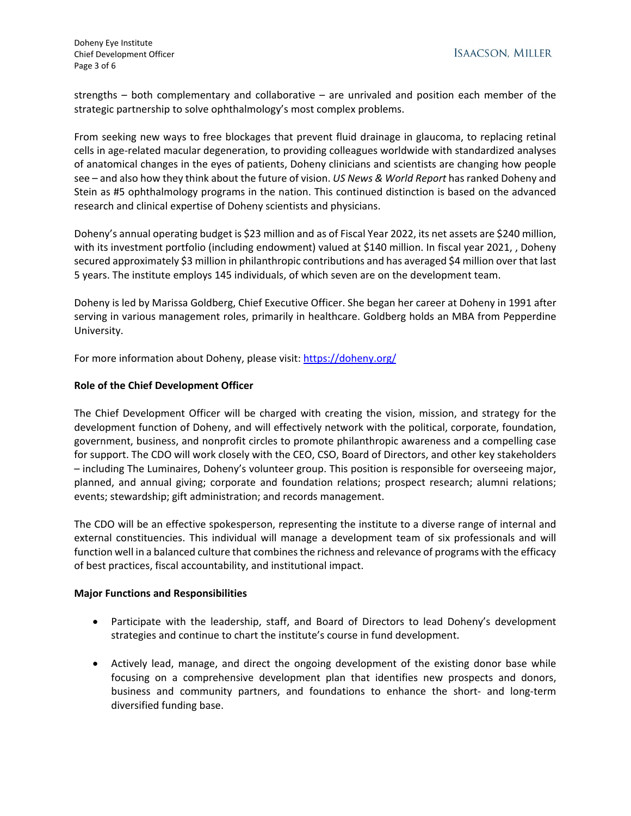strengths – both complementary and collaborative – are unrivaled and position each member of the strategic partnership to solve ophthalmology's most complex problems.

From seeking new ways to free blockages that prevent fluid drainage in glaucoma, to replacing retinal cells in age-related macular degeneration, to providing colleagues worldwide with standardized analyses of anatomical changes in the eyes of patients, Doheny clinicians and scientists are changing how people see – and also how they think about the future of vision. *US News & World Report* has ranked Doheny and Stein as #5 ophthalmology programs in the nation. This continued distinction is based on the advanced research and clinical expertise of Doheny scientists and physicians.

Doheny's annual operating budget is \$23 million and as of Fiscal Year 2022, its net assets are \$240 million, with its investment portfolio (including endowment) valued at \$140 million. In fiscal year 2021, , Doheny secured approximately \$3 million in philanthropic contributions and has averaged \$4 million over that last 5 years. The institute employs 145 individuals, of which seven are on the development team.

Doheny is led by Marissa Goldberg, Chief Executive Officer. She began her career at Doheny in 1991 after serving in various management roles, primarily in healthcare. Goldberg holds an MBA from Pepperdine University.

For more information about Doheny, please visit[: https://doheny.org/](https://doheny.org/) 

## **Role of the Chief Development Officer**

The Chief Development Officer will be charged with creating the vision, mission, and strategy for the development function of Doheny, and will effectively network with the political, corporate, foundation, government, business, and nonprofit circles to promote philanthropic awareness and a compelling case for support. The CDO will work closely with the CEO, CSO, Board of Directors, and other key stakeholders – including The Luminaires, Doheny's volunteer group. This position is responsible for overseeing major, planned, and annual giving; corporate and foundation relations; prospect research; alumni relations; events; stewardship; gift administration; and records management.

The CDO will be an effective spokesperson, representing the institute to a diverse range of internal and external constituencies. This individual will manage a development team of six professionals and will function well in a balanced culture that combines the richness and relevance of programs with the efficacy of best practices, fiscal accountability, and institutional impact.

#### **Major Functions and Responsibilities**

- Participate with the leadership, staff, and Board of Directors to lead Doheny's development strategies and continue to chart the institute's course in fund development.
- Actively lead, manage, and direct the ongoing development of the existing donor base while focusing on a comprehensive development plan that identifies new prospects and donors, business and community partners, and foundations to enhance the short- and long-term diversified funding base.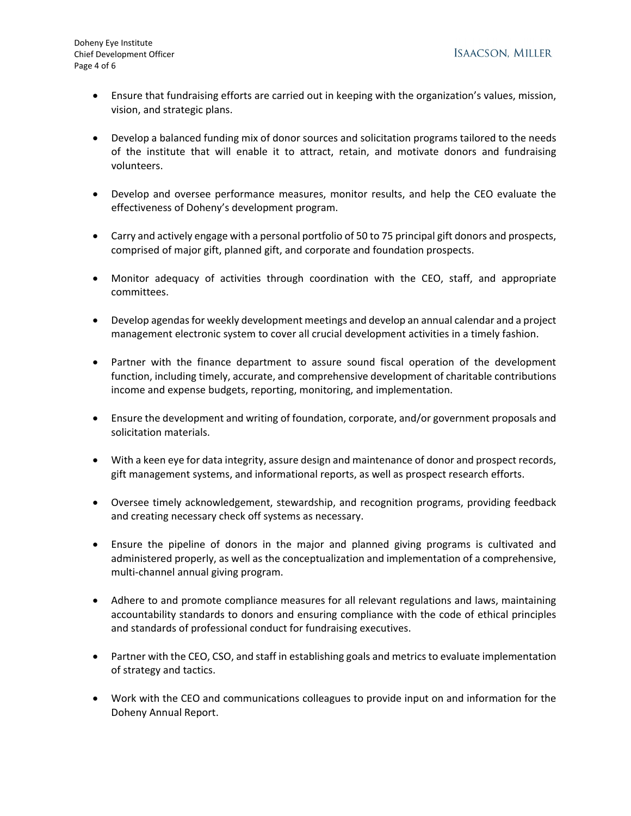- Ensure that fundraising efforts are carried out in keeping with the organization's values, mission, vision, and strategic plans.
- Develop a balanced funding mix of donor sources and solicitation programs tailored to the needs of the institute that will enable it to attract, retain, and motivate donors and fundraising volunteers.
- Develop and oversee performance measures, monitor results, and help the CEO evaluate the effectiveness of Doheny's development program.
- Carry and actively engage with a personal portfolio of 50 to 75 principal gift donors and prospects, comprised of major gift, planned gift, and corporate and foundation prospects.
- Monitor adequacy of activities through coordination with the CEO, staff, and appropriate committees.
- Develop agendas for weekly development meetings and develop an annual calendar and a project management electronic system to cover all crucial development activities in a timely fashion.
- Partner with the finance department to assure sound fiscal operation of the development function, including timely, accurate, and comprehensive development of charitable contributions income and expense budgets, reporting, monitoring, and implementation.
- Ensure the development and writing of foundation, corporate, and/or government proposals and solicitation materials.
- With a keen eye for data integrity, assure design and maintenance of donor and prospect records, gift management systems, and informational reports, as well as prospect research efforts.
- Oversee timely acknowledgement, stewardship, and recognition programs, providing feedback and creating necessary check off systems as necessary.
- Ensure the pipeline of donors in the major and planned giving programs is cultivated and administered properly, as well as the conceptualization and implementation of a comprehensive, multi-channel annual giving program.
- Adhere to and promote compliance measures for all relevant regulations and laws, maintaining accountability standards to donors and ensuring compliance with the code of ethical principles and standards of professional conduct for fundraising executives.
- Partner with the CEO, CSO, and staff in establishing goals and metrics to evaluate implementation of strategy and tactics.
- Work with the CEO and communications colleagues to provide input on and information for the Doheny Annual Report.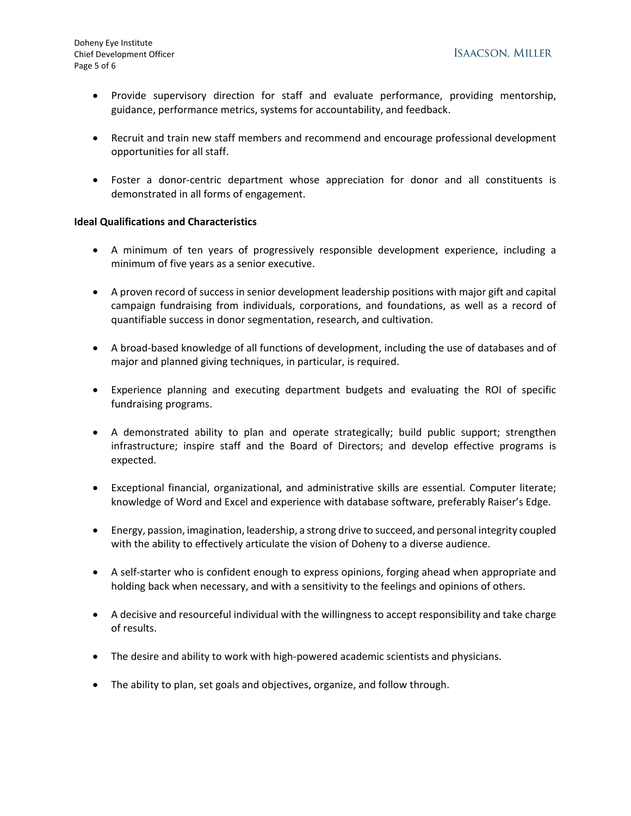- Provide supervisory direction for staff and evaluate performance, providing mentorship, guidance, performance metrics, systems for accountability, and feedback.
- Recruit and train new staff members and recommend and encourage professional development opportunities for all staff.
- Foster a donor-centric department whose appreciation for donor and all constituents is demonstrated in all forms of engagement.

## **Ideal Qualifications and Characteristics**

- A minimum of ten years of progressively responsible development experience, including a minimum of five years as a senior executive.
- A proven record of success in senior development leadership positions with major gift and capital campaign fundraising from individuals, corporations, and foundations, as well as a record of quantifiable success in donor segmentation, research, and cultivation.
- A broad-based knowledge of all functions of development, including the use of databases and of major and planned giving techniques, in particular, is required.
- Experience planning and executing department budgets and evaluating the ROI of specific fundraising programs.
- A demonstrated ability to plan and operate strategically; build public support; strengthen infrastructure; inspire staff and the Board of Directors; and develop effective programs is expected.
- Exceptional financial, organizational, and administrative skills are essential. Computer literate; knowledge of Word and Excel and experience with database software, preferably Raiser's Edge.
- Energy, passion, imagination, leadership, a strong drive to succeed, and personal integrity coupled with the ability to effectively articulate the vision of Doheny to a diverse audience.
- A self-starter who is confident enough to express opinions, forging ahead when appropriate and holding back when necessary, and with a sensitivity to the feelings and opinions of others.
- A decisive and resourceful individual with the willingness to accept responsibility and take charge of results.
- The desire and ability to work with high-powered academic scientists and physicians.
- The ability to plan, set goals and objectives, organize, and follow through.